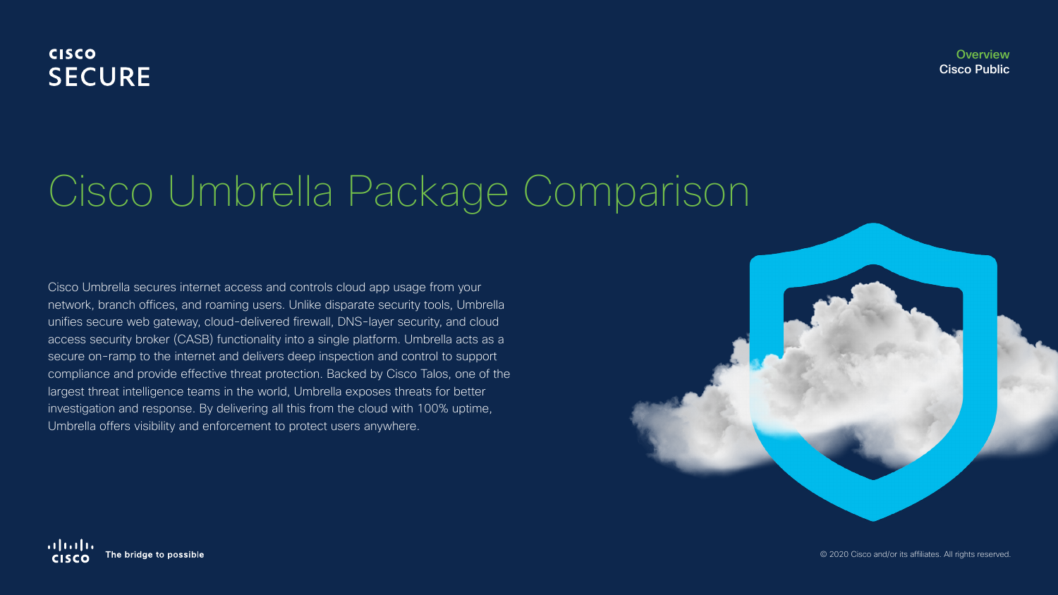#### **CISCO SECURE**

# Cisco Umbrella Package Comparison

Cisco Umbrella secures internet access and controls cloud app usage from your network, branch offices, and roaming users. Unlike disparate security tools, Umbrella unifies secure web gateway, cloud-delivered firewall, DNS-layer security, and cloud access security broker (CASB) functionality into a single platform. Umbrella acts as a secure on-ramp to the internet and delivers deep inspection and control to support compliance and provide effective threat protection. Backed by Cisco Talos, one of the largest threat intelligence teams in the world, Umbrella exposes threats for better investigation and response. By delivering all this from the cloud with 100% uptime, Umbrella offers visibility and enforcement to protect users anywhere.

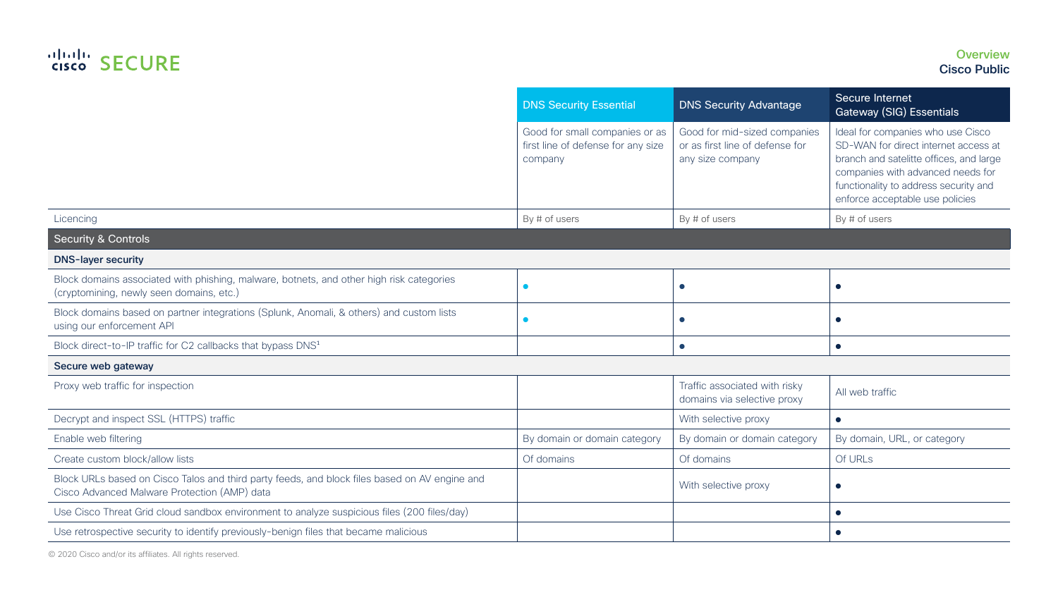### altalu SECURE

#### Overview Cisco Public

| <b>DNS Security Essential</b>                                                   | <b>DNS Security Advantage</b>                                                       | Secure Internet<br>Gateway (SIG) Essentials                                                                                                                                                                                           |  |  |
|---------------------------------------------------------------------------------|-------------------------------------------------------------------------------------|---------------------------------------------------------------------------------------------------------------------------------------------------------------------------------------------------------------------------------------|--|--|
| Good for small companies or as<br>first line of defense for any size<br>company | Good for mid-sized companies<br>or as first line of defense for<br>any size company | Ideal for companies who use Cisco<br>SD-WAN for direct internet access at<br>branch and satelitte offices, and large<br>companies with advanced needs for<br>functionality to address security and<br>enforce acceptable use policies |  |  |
| By # of users                                                                   | By # of users                                                                       | By # of users                                                                                                                                                                                                                         |  |  |
|                                                                                 |                                                                                     |                                                                                                                                                                                                                                       |  |  |
|                                                                                 |                                                                                     |                                                                                                                                                                                                                                       |  |  |
| $\bullet$                                                                       |                                                                                     | $\bullet$                                                                                                                                                                                                                             |  |  |
| ●                                                                               |                                                                                     | $\bullet$                                                                                                                                                                                                                             |  |  |
|                                                                                 | $\bullet$                                                                           | $\bullet$                                                                                                                                                                                                                             |  |  |
| Secure web gateway                                                              |                                                                                     |                                                                                                                                                                                                                                       |  |  |
|                                                                                 | Traffic associated with risky<br>domains via selective proxy                        | All web traffic                                                                                                                                                                                                                       |  |  |
|                                                                                 | With selective proxy                                                                | $\bullet$                                                                                                                                                                                                                             |  |  |
| By domain or domain category                                                    | By domain or domain category                                                        | By domain, URL, or category                                                                                                                                                                                                           |  |  |
| Of domains                                                                      | Of domains                                                                          | Of URLs                                                                                                                                                                                                                               |  |  |
|                                                                                 | With selective proxy                                                                | $\bullet$                                                                                                                                                                                                                             |  |  |
|                                                                                 |                                                                                     | $\bullet$                                                                                                                                                                                                                             |  |  |
|                                                                                 |                                                                                     | $\bullet$                                                                                                                                                                                                                             |  |  |
|                                                                                 |                                                                                     |                                                                                                                                                                                                                                       |  |  |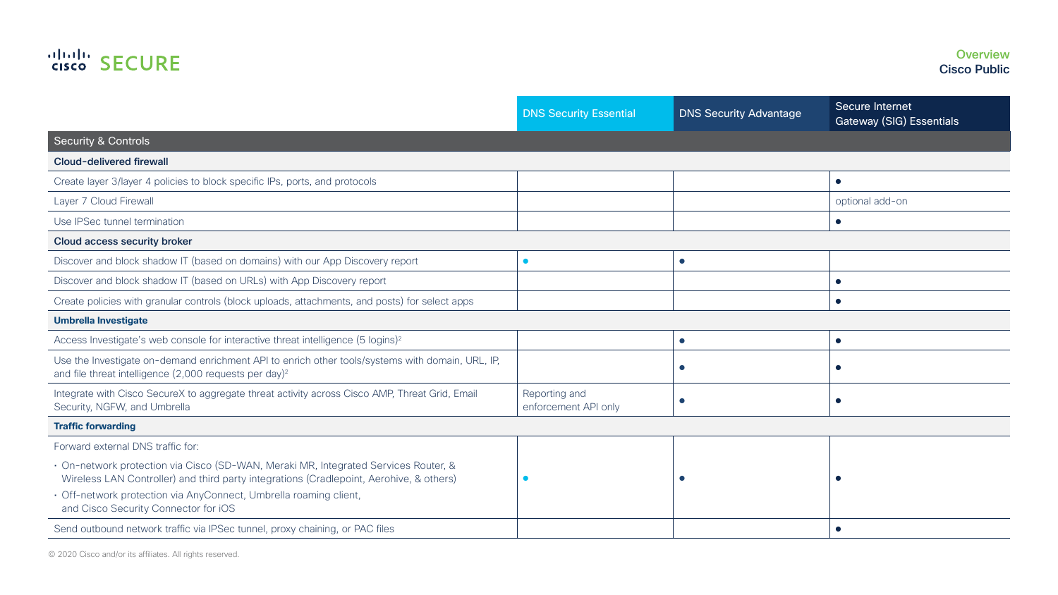## altalli SECURE

|                                                                                                                                                                                | <b>DNS Security Essential</b>         | <b>DNS Security Advantage</b> | Secure Internet<br>Gateway (SIG) Essentials |  |
|--------------------------------------------------------------------------------------------------------------------------------------------------------------------------------|---------------------------------------|-------------------------------|---------------------------------------------|--|
| <b>Security &amp; Controls</b>                                                                                                                                                 |                                       |                               |                                             |  |
| <b>Cloud-delivered firewall</b>                                                                                                                                                |                                       |                               |                                             |  |
| Create layer 3/layer 4 policies to block specific IPs, ports, and protocols                                                                                                    |                                       |                               | $\bullet$                                   |  |
| Layer 7 Cloud Firewall                                                                                                                                                         |                                       |                               | optional add-on                             |  |
| Use IPSec tunnel termination                                                                                                                                                   |                                       |                               | $\bullet$                                   |  |
| Cloud access security broker                                                                                                                                                   |                                       |                               |                                             |  |
| Discover and block shadow IT (based on domains) with our App Discovery report                                                                                                  | $\bullet$                             | $\bullet$                     |                                             |  |
| Discover and block shadow IT (based on URLs) with App Discovery report                                                                                                         |                                       |                               | $\bullet$                                   |  |
| Create policies with granular controls (block uploads, attachments, and posts) for select apps                                                                                 |                                       |                               | $\bullet$                                   |  |
| <b>Umbrella Investigate</b>                                                                                                                                                    |                                       |                               |                                             |  |
| Access Investigate's web console for interactive threat intelligence (5 logins) <sup>2</sup>                                                                                   |                                       | $\bullet$                     | $\bullet$                                   |  |
| Use the Investigate on-demand enrichment API to enrich other tools/systems with domain, URL, IP,<br>and file threat intelligence (2,000 requests per day) <sup>2</sup>         |                                       | $\bullet$                     | $\bullet$                                   |  |
| Integrate with Cisco SecureX to aggregate threat activity across Cisco AMP, Threat Grid, Email<br>Security, NGFW, and Umbrella                                                 | Reporting and<br>enforcement API only | $\bullet$                     | $\bullet$                                   |  |
| <b>Traffic forwarding</b>                                                                                                                                                      |                                       |                               |                                             |  |
| Forward external DNS traffic for:                                                                                                                                              |                                       |                               |                                             |  |
| · On-network protection via Cisco (SD-WAN, Meraki MR, Integrated Services Router, &<br>Wireless LAN Controller) and third party integrations (Cradlepoint, Aerohive, & others) |                                       |                               |                                             |  |
| · Off-network protection via AnyConnect, Umbrella roaming client,<br>and Cisco Security Connector for iOS                                                                      |                                       |                               |                                             |  |
| Send outbound network traffic via IPSec tunnel, proxy chaining, or PAC files                                                                                                   |                                       |                               | $\bullet$                                   |  |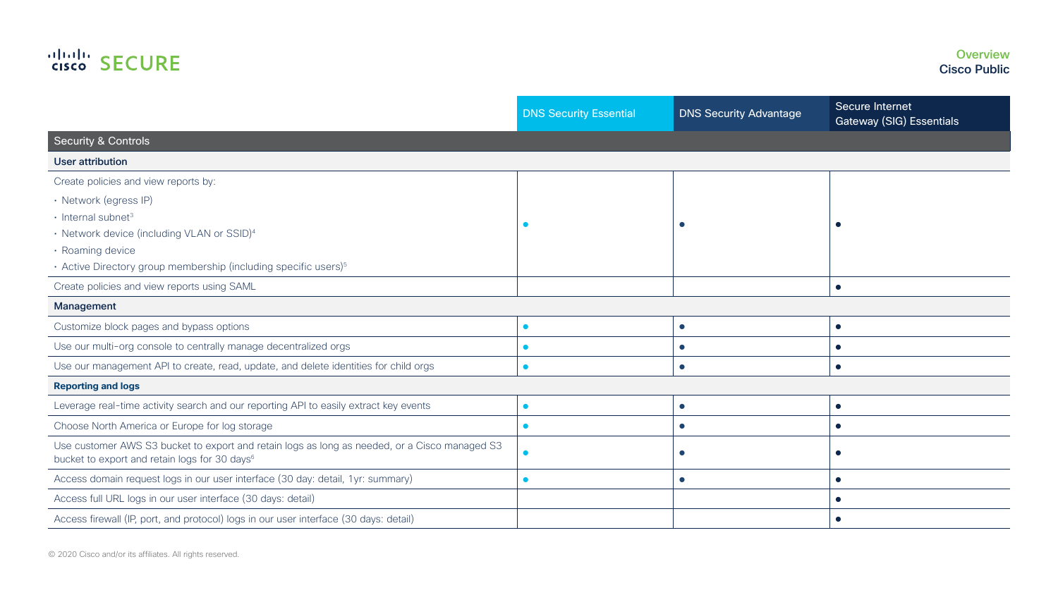### altalli SECURE

#### **Overview** Cisco Public

|                                                                                                                                                            | <b>DNS Security Essential</b> | <b>DNS Security Advantage</b> | Secure Internet<br>Gateway (SIG) Essentials |
|------------------------------------------------------------------------------------------------------------------------------------------------------------|-------------------------------|-------------------------------|---------------------------------------------|
| <b>Security &amp; Controls</b>                                                                                                                             |                               |                               |                                             |
| User attribution                                                                                                                                           |                               |                               |                                             |
| Create policies and view reports by:                                                                                                                       |                               |                               |                                             |
| · Network (egress IP)                                                                                                                                      |                               |                               |                                             |
| $\cdot$ Internal subnet <sup>3</sup>                                                                                                                       |                               |                               | $\bullet$                                   |
| • Network device (including VLAN or SSID) <sup>4</sup>                                                                                                     |                               |                               |                                             |
| · Roaming device                                                                                                                                           |                               |                               |                                             |
| • Active Directory group membership (including specific users) <sup>5</sup>                                                                                |                               |                               |                                             |
| Create policies and view reports using SAML                                                                                                                |                               |                               | $\bullet$                                   |
| Management                                                                                                                                                 |                               |                               |                                             |
| Customize block pages and bypass options                                                                                                                   | $\bullet$                     | $\bullet$                     | $\bullet$                                   |
| Use our multi-org console to centrally manage decentralized orgs                                                                                           |                               | $\bullet$                     | $\bullet$                                   |
| Use our management API to create, read, update, and delete identities for child orgs                                                                       | $\bullet$                     | $\bullet$                     | $\bullet$                                   |
| <b>Reporting and logs</b>                                                                                                                                  |                               |                               |                                             |
| Leverage real-time activity search and our reporting API to easily extract key events                                                                      | $\bullet$                     | $\bullet$                     | $\bullet$                                   |
| Choose North America or Europe for log storage                                                                                                             | $\bullet$                     | $\bullet$                     | $\bullet$                                   |
| Use customer AWS S3 bucket to export and retain logs as long as needed, or a Cisco managed S3<br>bucket to export and retain logs for 30 days <sup>6</sup> | $\bullet$                     | $\bullet$                     | $\bullet$                                   |
| Access domain request logs in our user interface (30 day: detail, 1yr: summary)                                                                            | $\bullet$                     | $\bullet$                     | $\bullet$                                   |
| Access full URL logs in our user interface (30 days: detail)                                                                                               |                               |                               | $\bullet$                                   |
| Access firewall (IP, port, and protocol) logs in our user interface (30 days: detail)                                                                      |                               |                               | $\bullet$                                   |